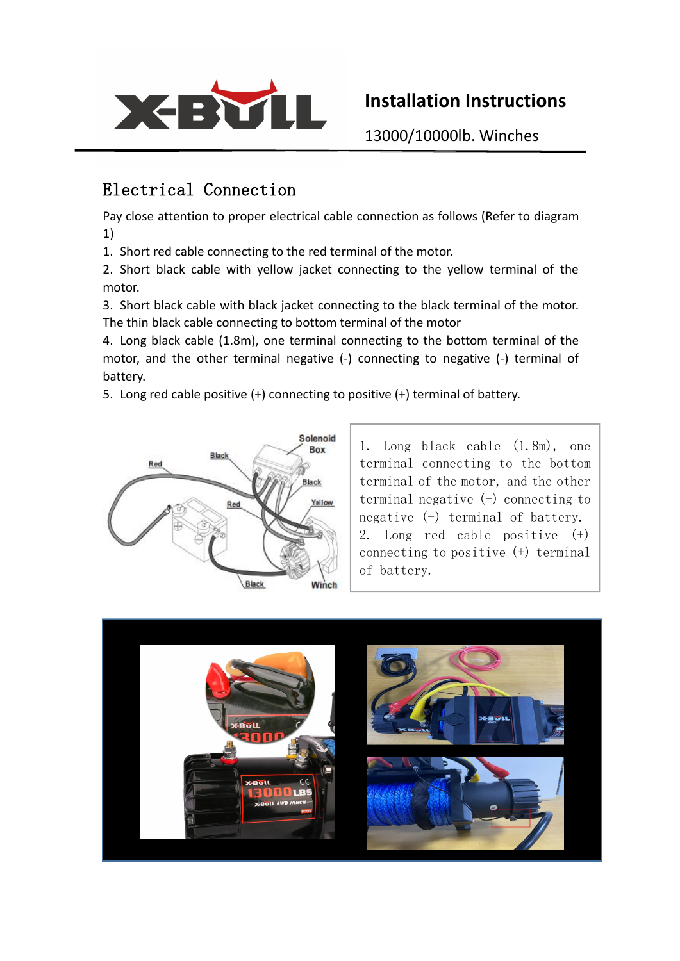

## **Installation Instructions**

13000/10000lb. Winches

## Electrical Connection

Pay close attention to proper electrical cable connection as follows (Refer to diagram 1)

1. Short red cable connecting to the red terminal of the motor.

2. Short black cable with yellow jacket connecting to the yellow terminal of the motor.

3. Short black cable with black jacket connecting to the black terminal of the motor. The thin black cable connecting to bottom terminal of the motor

4. Long black cable (1.8m), one terminal connecting to the bottom terminal of the motor, and the other terminal negative (-) connecting to negative (-) terminal of battery.

5. Long red cable positive (+) connecting to positive (+) terminal of battery.



1. Long black cable (1.8m), one terminal connecting to the bottom terminal of the motor, and the other terminal negative  $(-)$  connecting to negative  $(-)$  terminal of battery. 2. Long red cable positive (+) connecting to positive (+) terminal of battery.